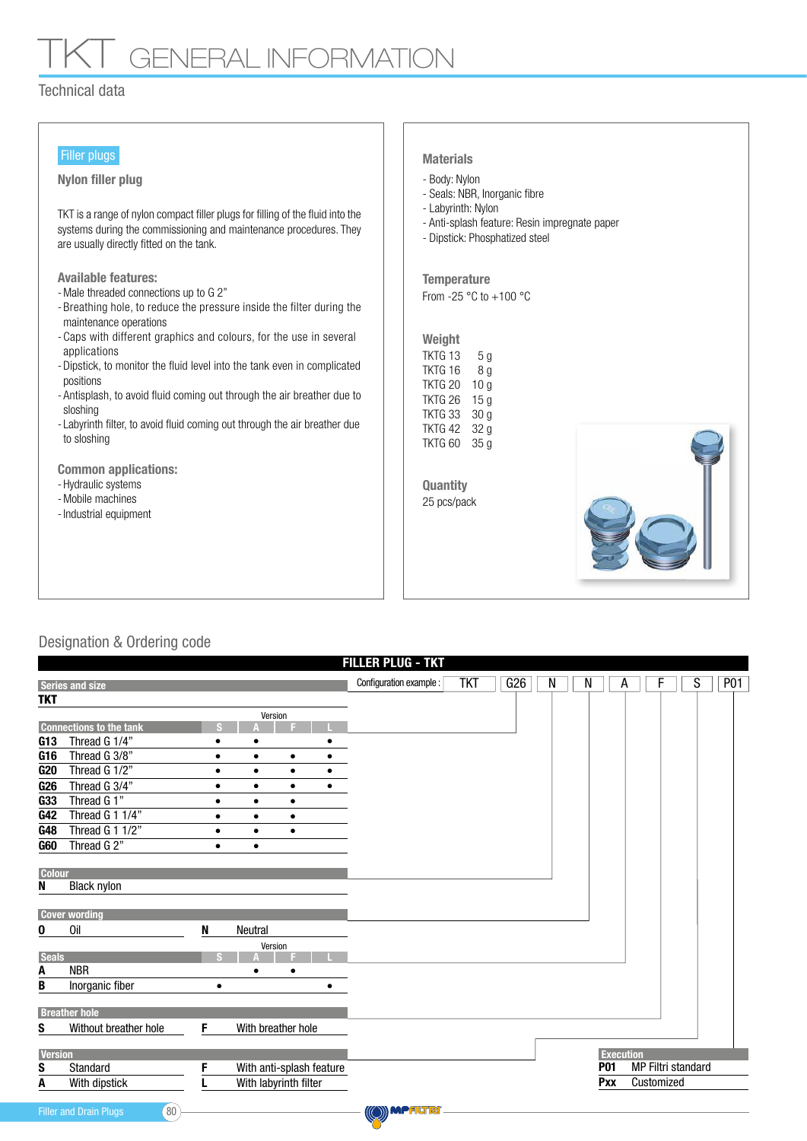# **GENERAL INFORMATION**

### Technical data

#### Filler plugs

#### Nylon filler plug and the state of the Body: Nylon

TKT is a range of nylon compact filler plugs for filling of the fluid into the systems during the commissioning and maintenance procedures. They are usually directly fitted on the tank.

Available features:

- Male threaded connections up to G 2"
- Breathing hole, to reduce the pressure inside the filter during the maintenance operations
- Caps with different graphics and colours, for the use in several applications
- Dipstick, to monitor the fluid level into the tank even in complicated positions
- Antisplash, to avoid fluid coming out through the air breather due to sloshing
- Labyrinth filter, to avoid fluid coming out through the air breather due to sloshing

Common applications:

- Hydraulic systems
- Mobile machines
- Industrial equipment

#### **Materials**

- 
- Seals: NBR, Inorganic fibre
- Labyrinth: Nylon
- Anti-splash feature: Resin impregnate paper
- Dipstick: Phosphatized steel

From -25 °C to +100 °C **Temperature** 

#### Weight TKTG 13 TKTG 16 TKTG 20 10 g 5 g 8 g

TKTG 26 15 g TKTG 33 30 g TKTG 42 32 g TKTG 60 35 g

25 pcs/pack **Quantity** 



## Designation & Ordering code

|                 | <b>FILLER PLUG - TKT</b>                         |              |                          |           |           |                         |            |     |   |   |                  |                           |  |   |            |
|-----------------|--------------------------------------------------|--------------|--------------------------|-----------|-----------|-------------------------|------------|-----|---|---|------------------|---------------------------|--|---|------------|
|                 | <b>Series and size</b>                           |              |                          |           |           | Configuration example : | <b>TKT</b> | G26 | N | N | A                |                           |  | S | <b>P01</b> |
| <b>TKT</b>      |                                                  |              |                          |           |           |                         |            |     |   |   |                  |                           |  |   |            |
|                 |                                                  |              |                          | Version   |           |                         |            |     |   |   |                  |                           |  |   |            |
|                 | <b>Connections to the tank</b>                   |              |                          |           |           |                         |            |     |   |   |                  |                           |  |   |            |
| G13             | Thread G 1/4"                                    |              |                          |           |           |                         |            |     |   |   |                  |                           |  |   |            |
| G <sub>16</sub> | Thread G 3/8"                                    | ٠            | $\bullet$                | $\bullet$ |           |                         |            |     |   |   |                  |                           |  |   |            |
| G20             | Thread G 1/2"                                    | $\bullet$    | $\bullet$                | $\bullet$ | $\bullet$ |                         |            |     |   |   |                  |                           |  |   |            |
| G <sub>26</sub> | Thread G 3/4"                                    | $\bullet$    | $\bullet$                | $\bullet$ | $\bullet$ |                         |            |     |   |   |                  |                           |  |   |            |
| G33             | Thread G 1"                                      | $\bullet$    | $\bullet$                | $\bullet$ |           |                         |            |     |   |   |                  |                           |  |   |            |
| G42             | Thread G 1 1/4"                                  | ٠            | ٠                        | ٠         |           |                         |            |     |   |   |                  |                           |  |   |            |
| G48             | Thread G 1 1/2"                                  | ٠            | $\bullet$                | ٠         |           |                         |            |     |   |   |                  |                           |  |   |            |
| <b>G60</b>      | Thread G 2"                                      | $\bullet$    | $\bullet$                |           |           |                         |            |     |   |   |                  |                           |  |   |            |
|                 |                                                  |              |                          |           |           |                         |            |     |   |   |                  |                           |  |   |            |
| <b>Colour</b>   |                                                  |              |                          |           |           |                         |            |     |   |   |                  |                           |  |   |            |
| N               | <b>Black nylon</b>                               |              |                          |           |           |                         |            |     |   |   |                  |                           |  |   |            |
|                 |                                                  |              |                          |           |           |                         |            |     |   |   |                  |                           |  |   |            |
|                 | <b>Cover wording</b>                             |              |                          |           |           |                         |            |     |   |   |                  |                           |  |   |            |
| 0               | Oil                                              | N            | <b>Neutral</b>           |           |           |                         |            |     |   |   |                  |                           |  |   |            |
| <b>Seals</b>    |                                                  |              |                          | Version   |           |                         |            |     |   |   |                  |                           |  |   |            |
| A               | <b>NBR</b>                                       |              |                          |           |           |                         |            |     |   |   |                  |                           |  |   |            |
| B               | Inorganic fiber                                  | $\bullet$    |                          |           |           |                         |            |     |   |   |                  |                           |  |   |            |
|                 |                                                  |              |                          |           |           |                         |            |     |   |   |                  |                           |  |   |            |
|                 | <b>Breather hole</b>                             |              |                          |           |           |                         |            |     |   |   |                  |                           |  |   |            |
| S               | Without breather hole                            | F            | With breather hole       |           |           |                         |            |     |   |   |                  |                           |  |   |            |
|                 |                                                  |              |                          |           |           |                         |            |     |   |   |                  |                           |  |   |            |
| <b>Version</b>  |                                                  |              |                          |           |           |                         |            |     |   |   | <b>Execution</b> |                           |  |   |            |
| S               | Standard                                         | F            | With anti-splash feature |           |           |                         |            |     |   |   | <b>P01</b>       | <b>MP Filtri standard</b> |  |   |            |
| A               | With dipstick                                    |              | With labyrinth filter    |           |           |                         |            |     |   |   | Pxx              | Customized                |  |   |            |
|                 |                                                  |              |                          |           |           |                         |            |     |   |   |                  |                           |  |   |            |
|                 | 80 <sup>°</sup><br><b>Filler and Drain Plugs</b> | ((O)) MPALTR |                          |           |           |                         |            |     |   |   |                  |                           |  |   |            |